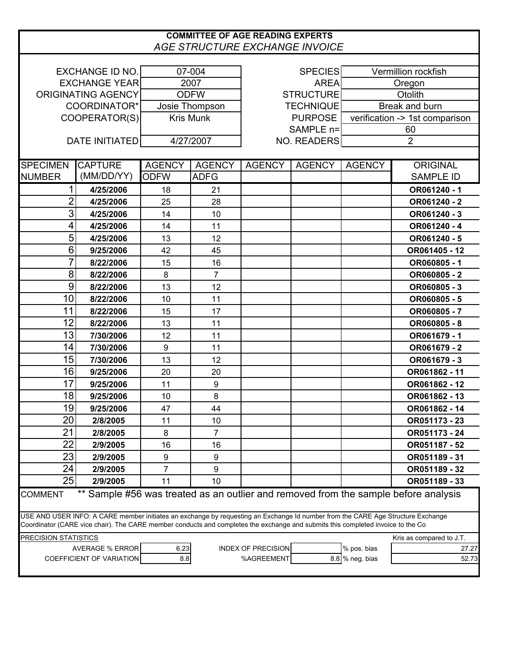## **COMMITTEE OF AGE READING EXPERTS** *AGE STRUCTURE EXCHANGE INVOICE*

| <b>EXCHANGE ID NO.</b>                                                                                                          |                       | 07-004           |                  | <b>SPECIES</b>     |               | Vermillion rockfish            |                                                                                     |  |  |  |  |
|---------------------------------------------------------------------------------------------------------------------------------|-----------------------|------------------|------------------|--------------------|---------------|--------------------------------|-------------------------------------------------------------------------------------|--|--|--|--|
| <b>EXCHANGE YEAR</b>                                                                                                            |                       | 2007             |                  | <b>AREA</b>        |               | Oregon                         |                                                                                     |  |  |  |  |
| ORIGINATING AGENCY                                                                                                              |                       | <b>ODFW</b>      |                  | <b>STRUCTURE</b>   |               | Otolith                        |                                                                                     |  |  |  |  |
| COORDINATOR*                                                                                                                    |                       | Josie Thompson   |                  | <b>TECHNIQUE</b>   |               | Break and burn                 |                                                                                     |  |  |  |  |
| COOPERATOR(S)                                                                                                                   |                       | <b>Kris Munk</b> |                  | <b>PURPOSE</b>     |               | verification -> 1st comparison |                                                                                     |  |  |  |  |
|                                                                                                                                 |                       |                  |                  | SAMPLE n=          |               | 60                             |                                                                                     |  |  |  |  |
|                                                                                                                                 | <b>DATE INITIATED</b> | 4/27/2007        |                  | <b>NO. READERS</b> |               | $\overline{2}$                 |                                                                                     |  |  |  |  |
|                                                                                                                                 |                       |                  |                  |                    |               |                                |                                                                                     |  |  |  |  |
| <b>SPECIMEN</b>                                                                                                                 | <b>CAPTURE</b>        | <b>AGENCY</b>    | <b>AGENCY</b>    | <b>AGENCY</b>      | <b>AGENCY</b> | <b>AGENCY</b>                  | <b>ORIGINAL</b>                                                                     |  |  |  |  |
| <b>NUMBER</b>                                                                                                                   | (MM/DD/YY)            | <b>ODFW</b>      | <b>ADFG</b>      |                    |               |                                | <b>SAMPLE ID</b>                                                                    |  |  |  |  |
| $\mathbf{1}$                                                                                                                    | 4/25/2006             | 18               | 21               |                    |               |                                | OR061240 - 1                                                                        |  |  |  |  |
| $\overline{2}$                                                                                                                  | 4/25/2006             | 25               | 28               |                    |               |                                | OR061240 - 2                                                                        |  |  |  |  |
| 3                                                                                                                               | 4/25/2006             | 14               | 10               |                    |               |                                | OR061240 - 3                                                                        |  |  |  |  |
| 4                                                                                                                               | 4/25/2006             | 14               | 11               |                    |               |                                | OR061240 - 4                                                                        |  |  |  |  |
| 5                                                                                                                               | 4/25/2006             | 13               | 12               |                    |               |                                | OR061240 - 5                                                                        |  |  |  |  |
| 6                                                                                                                               | 9/25/2006             | 42               | 45               |                    |               |                                | OR061405 - 12                                                                       |  |  |  |  |
| 7                                                                                                                               | 8/22/2006             | 15               | 16               |                    |               |                                | OR060805 - 1                                                                        |  |  |  |  |
| 8                                                                                                                               | 8/22/2006             | 8                | $\overline{7}$   |                    |               |                                | OR060805 - 2                                                                        |  |  |  |  |
| $\boldsymbol{9}$                                                                                                                | 8/22/2006             | 13               | 12               |                    |               |                                | OR060805 - 3                                                                        |  |  |  |  |
| 10                                                                                                                              | 8/22/2006             | 10               | 11               |                    |               |                                | OR060805-5                                                                          |  |  |  |  |
| 11                                                                                                                              | 8/22/2006             | 15               | 17               |                    |               |                                | OR060805-7                                                                          |  |  |  |  |
| 12                                                                                                                              | 8/22/2006             | 13               | 11               |                    |               |                                | OR060805 - 8                                                                        |  |  |  |  |
| 13                                                                                                                              | 7/30/2006             | 12               | 11               |                    |               |                                | OR061679 - 1                                                                        |  |  |  |  |
| 14                                                                                                                              | 7/30/2006             | 9                | 11               |                    |               |                                | OR061679 - 2                                                                        |  |  |  |  |
| 15                                                                                                                              | 7/30/2006             | 13               | 12               |                    |               |                                | OR061679 - 3                                                                        |  |  |  |  |
| 16                                                                                                                              | 9/25/2006             | 20               | 20               |                    |               |                                | OR061862 - 11                                                                       |  |  |  |  |
| 17                                                                                                                              | 9/25/2006             | 11               | $\boldsymbol{9}$ |                    |               |                                | OR061862 - 12                                                                       |  |  |  |  |
| 18                                                                                                                              | 9/25/2006             | 10               | 8                |                    |               |                                | OR061862 - 13                                                                       |  |  |  |  |
| 19                                                                                                                              | 9/25/2006             | 47               | 44               |                    |               |                                | OR061862 - 14                                                                       |  |  |  |  |
| 20                                                                                                                              | 2/8/2005              | 11               | 10               |                    |               |                                | OR051173 - 23                                                                       |  |  |  |  |
| 21                                                                                                                              | 2/8/2005              | 8                | 7                |                    |               |                                | OR051173 - 24                                                                       |  |  |  |  |
| 22                                                                                                                              | 2/9/2005              | 16               | 16               |                    |               |                                | OR051187 - 52                                                                       |  |  |  |  |
| 23                                                                                                                              | 2/9/2005              | 9                | 9                |                    |               |                                | OR051189 - 31                                                                       |  |  |  |  |
| 24                                                                                                                              | 2/9/2005              | $\overline{7}$   | 9                |                    |               |                                | OR051189 - 32                                                                       |  |  |  |  |
| 25                                                                                                                              | 2/9/2005              | 11               | 10               |                    |               |                                | OR051189 - 33                                                                       |  |  |  |  |
| <b>COMMENT</b>                                                                                                                  |                       |                  |                  |                    |               |                                | ** Sample #56 was treated as an outlier and removed from the sample before analysis |  |  |  |  |
|                                                                                                                                 |                       |                  |                  |                    |               |                                |                                                                                     |  |  |  |  |
| USE AND USER INFO: A CARE member initiates an exchange by requesting an Exchange Id number from the CARE Age Structure Exchange |                       |                  |                  |                    |               |                                |                                                                                     |  |  |  |  |
| Coordinator (CARE vice chair). The CARE member conducts and completes the exchange and submits this completed invoice to the Co |                       |                  |                  |                    |               |                                |                                                                                     |  |  |  |  |
| <b>PRECISION STATISTICS</b><br>Kris as compared to J.T.                                                                         |                       |                  |                  |                    |               |                                |                                                                                     |  |  |  |  |
| <b>AVERAGE % ERROR</b><br><b>INDEX OF PRECISION</b><br>6.23<br>% pos. bias<br>27.27                                             |                       |                  |                  |                    |               |                                |                                                                                     |  |  |  |  |
| COEFFICIENT OF VARIATION<br>8.8<br>%AGREEMENT<br>8.8 % neg. bias<br>52.73                                                       |                       |                  |                  |                    |               |                                |                                                                                     |  |  |  |  |
|                                                                                                                                 |                       |                  |                  |                    |               |                                |                                                                                     |  |  |  |  |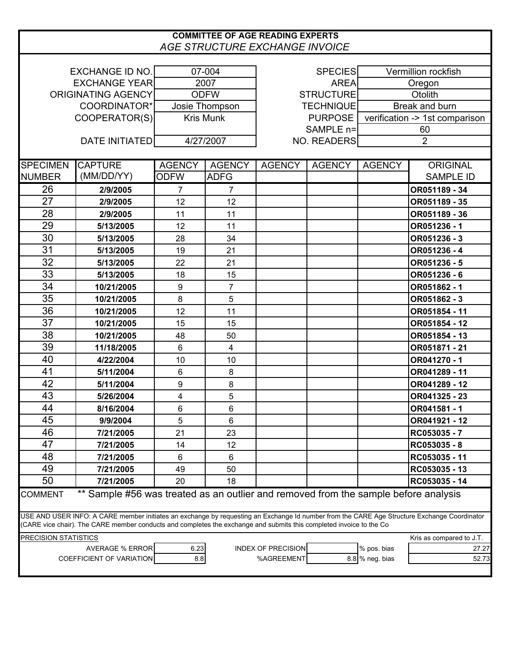## **COMMITTEE OF AGE READING EXPERTS** *AGE STRUCTURE EXCHANGE INVOICE* EXCHANGE ID NO. 07-004  $\qquad$  SPECIES EXCHANGE YEAR  $\vert$  2007  $\vert$  2007 AREA ORIGINATING AGENCY ODFW COORDINATOR\* Josie Thompson | TECHNIQUE COOPERATOR(S) Kris Munk | PURPOSE SAMPLE n=  $DATE INITIATED$   $4/27/2007$ SPECIMEN【CAPTURE AGENCY | AGENCY | AGENCY | AGENCY | AGENCY | AGENCY | ORIGINAL NUMBER (MM/DD/YY) ODFW ADFG | | | | SAMPLE ID 26 **2/9/2005** 7 7 **OR051189 - 34** 27 **2/9/2005** 12 12 **OR051189 - 35** 28 **2/9/2005** 11 11 **OR051189 - 36** 29 **5/13/2005** 12 11 **OR051236 - 1** 30 **5/13/2005** 28 34 **OR051236 - 3** 31 **5/13/2005** 19 21 **OR051236 - 4** 32 **5/13/2005** 22 21 **OR051236 - 5** 33 **5/13/2005** 18 15 **OR051236 - 6** 34 **10/21/2005** 9 7 **OR051862 - 1** 35 **10/21/2005** 8 5 **OR051862 - 3** 36 **10/21/2005** 12 11 **OR051854 - 11** 37 **10/21/2005** 15 15 **OR051854 - 12** 38 **10/21/2005** 48 50 **OR051854 - 13** 39 **11/18/2005** 6 4 **OR051871 - 21** 40 **4/22/2004** 10 10 **OR041270 - 1** 41 **5/11/2004** 6 8 **OR041289 - 11** 42 **5/11/2004** 9 8 **OR041289 - 12** 43 **5/26/2004** 4 5 **OR041325 - 23** 44 **8/16/2004** 6 6 **OR041581 - 1** 45 **9/9/2004** 5 6 **OR041921 - 12** 46 **7/21/2005** 21 23 **RC053035 - 7** 47 **7/21/2005** 14 12 **RC053035 - 8** 48 **7/21/2005** 6 6 **RC053035 - 11** 49 **7/21/2005** 49 50 **RC053035 - 13** 50 **7/21/2005** 20 18 **RC053035 - 14** COMMENT \*\* Sample #56 was treated as an outlier and removed from the sample before analysis PRECISION STATISTICS **Example 20 and 20 and 20 and 20 and 20 and 20 and 20 and 20 and 20 and 20 and 20 and 20 and 20 and 20 and 20 and 20 and 20 and 20 and 20 and 20 and 20 and 20 and 20 and 20 and 20 and 20 and 20 and 20** AVERAGE % ERROR 6.23 INDEX OF PRECISION 8 96 PS. bias 27.27 COEFFICIENT OF VARIATION 8.8 88 88 %AGREEMENT 8.8 % neg. bias 52.73 USE AND USER INFO: A CARE member initiates an exchange by requesting an Exchange Id number from the CARE Age Structure Exchange Coordinator (CARE vice chair). The CARE member conducts and completes the exchange and submits this completed invoice to the Co NO. READERS 2 60 verification -> 1st comparison Break and burn STRUCTURE **CONTACT OT A CONTACT OF A CONTACT CONTACT CONTACT CONTACT CONTACT CONTACT CONTACT CONTACT CONTACT CONTACT CONTACT CONTACT CONTACT CONTACT CONTACT CONTACT CONTACT CONTACT CONTACT CONTACT CONTACT CONTACT CONTACT C Oregon** Vermillion rockfish